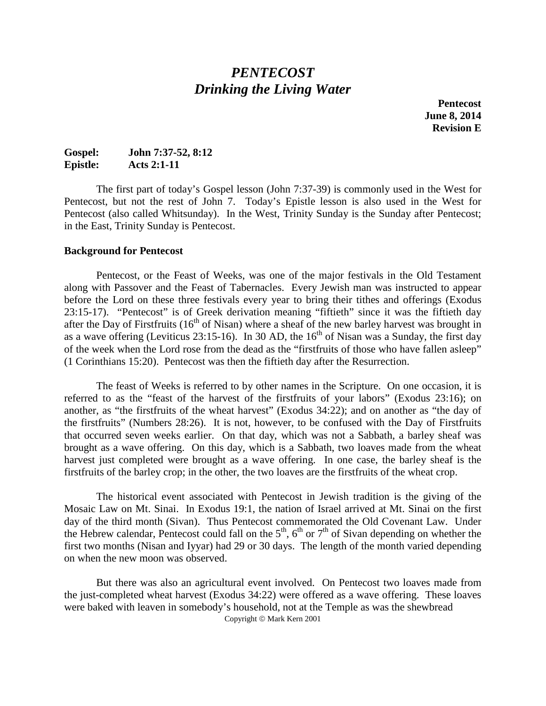## *PENTECOST Drinking the Living Water*

**Pentecost June 8, 2014 Revision E**

## **Gospel: John 7:37-52, 8:12 Epistle: Acts 2:1-11**

The first part of today's Gospel lesson (John 7:37-39) is commonly used in the West for Pentecost, but not the rest of John 7. Today's Epistle lesson is also used in the West for Pentecost (also called Whitsunday). In the West, Trinity Sunday is the Sunday after Pentecost; in the East, Trinity Sunday is Pentecost.

#### **Background for Pentecost**

Pentecost, or the Feast of Weeks, was one of the major festivals in the Old Testament along with Passover and the Feast of Tabernacles. Every Jewish man was instructed to appear before the Lord on these three festivals every year to bring their tithes and offerings (Exodus 23:15-17). "Pentecost" is of Greek derivation meaning "fiftieth" since it was the fiftieth day after the Day of Firstfruits  $(16<sup>th</sup>$  of Nisan) where a sheaf of the new barley harvest was brought in as a wave offering (Leviticus 23:15-16). In 30 AD, the 16<sup>th</sup> of Nisan was a Sunday, the first day of the week when the Lord rose from the dead as the "firstfruits of those who have fallen asleep" (1 Corinthians 15:20). Pentecost was then the fiftieth day after the Resurrection.

The feast of Weeks is referred to by other names in the Scripture. On one occasion, it is referred to as the "feast of the harvest of the firstfruits of your labors" (Exodus 23:16); on another, as "the firstfruits of the wheat harvest" (Exodus 34:22); and on another as "the day of the firstfruits" (Numbers 28:26). It is not, however, to be confused with the Day of Firstfruits that occurred seven weeks earlier. On that day, which was not a Sabbath, a barley sheaf was brought as a wave offering. On this day, which is a Sabbath, two loaves made from the wheat harvest just completed were brought as a wave offering. In one case, the barley sheaf is the firstfruits of the barley crop; in the other, the two loaves are the firstfruits of the wheat crop.

The historical event associated with Pentecost in Jewish tradition is the giving of the Mosaic Law on Mt. Sinai. In Exodus 19:1, the nation of Israel arrived at Mt. Sinai on the first day of the third month (Sivan). Thus Pentecost commemorated the Old Covenant Law. Under the Hebrew calendar, Pentecost could fall on the  $5<sup>th</sup>$ ,  $6<sup>th</sup>$  or  $7<sup>th</sup>$  of Sivan depending on whether the first two months (Nisan and Iyyar) had 29 or 30 days. The length of the month varied depending on when the new moon was observed.

But there was also an agricultural event involved. On Pentecost two loaves made from the just-completed wheat harvest (Exodus 34:22) were offered as a wave offering. These loaves were baked with leaven in somebody's household, not at the Temple as was the shewbread Copyright  $\circ$  Mark Kern 2001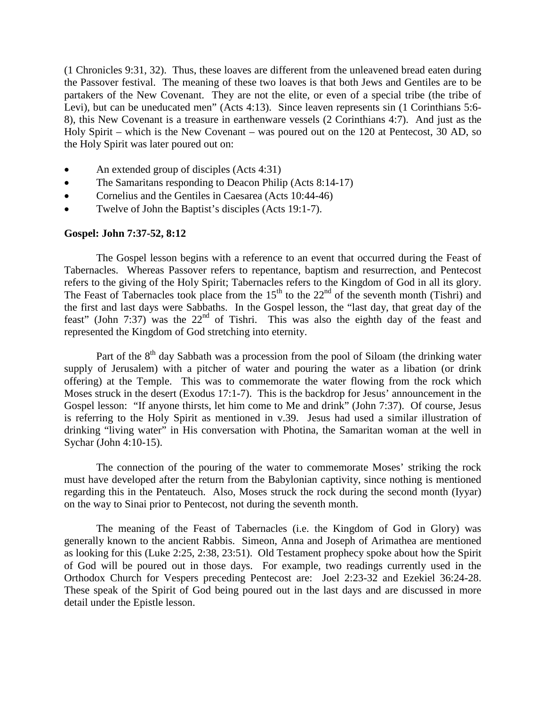(1 Chronicles 9:31, 32). Thus, these loaves are different from the unleavened bread eaten during the Passover festival. The meaning of these two loaves is that both Jews and Gentiles are to be partakers of the New Covenant. They are not the elite, or even of a special tribe (the tribe of Levi), but can be uneducated men" (Acts 4:13). Since leaven represents sin (1 Corinthians 5:6- 8), this New Covenant is a treasure in earthenware vessels (2 Corinthians 4:7). And just as the Holy Spirit – which is the New Covenant – was poured out on the 120 at Pentecost, 30 AD, so the Holy Spirit was later poured out on:

- An extended group of disciples (Acts 4:31)
- The Samaritans responding to Deacon Philip (Acts 8:14-17)
- Cornelius and the Gentiles in Caesarea (Acts 10:44-46)
- Twelve of John the Baptist's disciples (Acts 19:1-7).

#### **Gospel: John 7:37-52, 8:12**

The Gospel lesson begins with a reference to an event that occurred during the Feast of Tabernacles. Whereas Passover refers to repentance, baptism and resurrection, and Pentecost refers to the giving of the Holy Spirit; Tabernacles refers to the Kingdom of God in all its glory. The Feast of Tabernacles took place from the 15<sup>th</sup> to the 22<sup>nd</sup> of the seventh month (Tishri) and the first and last days were Sabbaths. In the Gospel lesson, the "last day, that great day of the feast" (John 7:37) was the  $22<sup>nd</sup>$  of Tishri. This was also the eighth day of the feast and represented the Kingdom of God stretching into eternity.

Part of the  $8<sup>th</sup>$  day Sabbath was a procession from the pool of Siloam (the drinking water supply of Jerusalem) with a pitcher of water and pouring the water as a libation (or drink offering) at the Temple. This was to commemorate the water flowing from the rock which Moses struck in the desert (Exodus 17:1-7). This is the backdrop for Jesus' announcement in the Gospel lesson: "If anyone thirsts, let him come to Me and drink" (John 7:37). Of course, Jesus is referring to the Holy Spirit as mentioned in v.39. Jesus had used a similar illustration of drinking "living water" in His conversation with Photina, the Samaritan woman at the well in Sychar (John 4:10-15).

The connection of the pouring of the water to commemorate Moses' striking the rock must have developed after the return from the Babylonian captivity, since nothing is mentioned regarding this in the Pentateuch. Also, Moses struck the rock during the second month (Iyyar) on the way to Sinai prior to Pentecost, not during the seventh month.

The meaning of the Feast of Tabernacles (i.e. the Kingdom of God in Glory) was generally known to the ancient Rabbis. Simeon, Anna and Joseph of Arimathea are mentioned as looking for this (Luke 2:25, 2:38, 23:51). Old Testament prophecy spoke about how the Spirit of God will be poured out in those days. For example, two readings currently used in the Orthodox Church for Vespers preceding Pentecost are: Joel 2:23-32 and Ezekiel 36:24-28. These speak of the Spirit of God being poured out in the last days and are discussed in more detail under the Epistle lesson.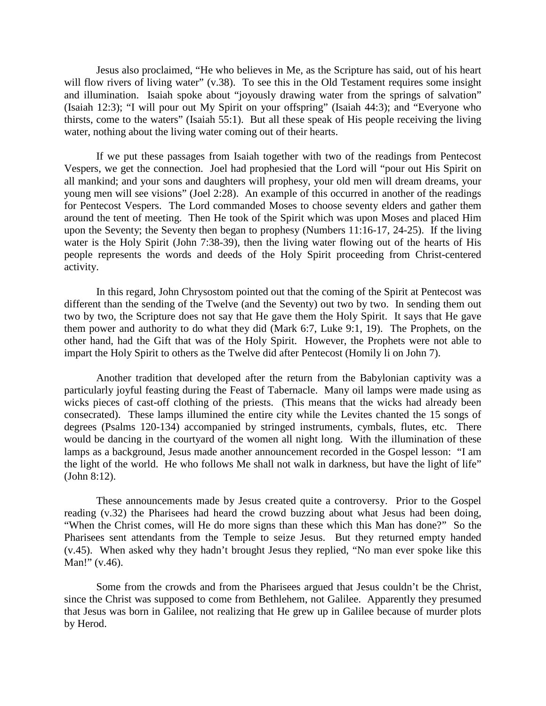Jesus also proclaimed, "He who believes in Me, as the Scripture has said, out of his heart will flow rivers of living water" (v.38). To see this in the Old Testament requires some insight and illumination. Isaiah spoke about "joyously drawing water from the springs of salvation" (Isaiah 12:3); "I will pour out My Spirit on your offspring" (Isaiah 44:3); and "Everyone who thirsts, come to the waters" (Isaiah 55:1). But all these speak of His people receiving the living water, nothing about the living water coming out of their hearts.

If we put these passages from Isaiah together with two of the readings from Pentecost Vespers, we get the connection. Joel had prophesied that the Lord will "pour out His Spirit on all mankind; and your sons and daughters will prophesy, your old men will dream dreams, your young men will see visions" (Joel 2:28). An example of this occurred in another of the readings for Pentecost Vespers. The Lord commanded Moses to choose seventy elders and gather them around the tent of meeting. Then He took of the Spirit which was upon Moses and placed Him upon the Seventy; the Seventy then began to prophesy (Numbers 11:16-17, 24-25). If the living water is the Holy Spirit (John 7:38-39), then the living water flowing out of the hearts of His people represents the words and deeds of the Holy Spirit proceeding from Christ-centered activity.

In this regard, John Chrysostom pointed out that the coming of the Spirit at Pentecost was different than the sending of the Twelve (and the Seventy) out two by two. In sending them out two by two, the Scripture does not say that He gave them the Holy Spirit. It says that He gave them power and authority to do what they did (Mark 6:7, Luke 9:1, 19). The Prophets, on the other hand, had the Gift that was of the Holy Spirit. However, the Prophets were not able to impart the Holy Spirit to others as the Twelve did after Pentecost (Homily li on John 7).

Another tradition that developed after the return from the Babylonian captivity was a particularly joyful feasting during the Feast of Tabernacle. Many oil lamps were made using as wicks pieces of cast-off clothing of the priests. (This means that the wicks had already been consecrated). These lamps illumined the entire city while the Levites chanted the 15 songs of degrees (Psalms 120-134) accompanied by stringed instruments, cymbals, flutes, etc. There would be dancing in the courtyard of the women all night long. With the illumination of these lamps as a background, Jesus made another announcement recorded in the Gospel lesson: "I am the light of the world. He who follows Me shall not walk in darkness, but have the light of life" (John 8:12).

These announcements made by Jesus created quite a controversy. Prior to the Gospel reading (v.32) the Pharisees had heard the crowd buzzing about what Jesus had been doing, "When the Christ comes, will He do more signs than these which this Man has done?" So the Pharisees sent attendants from the Temple to seize Jesus. But they returned empty handed (v.45). When asked why they hadn't brought Jesus they replied, "No man ever spoke like this Man!" (v.46).

Some from the crowds and from the Pharisees argued that Jesus couldn't be the Christ, since the Christ was supposed to come from Bethlehem, not Galilee. Apparently they presumed that Jesus was born in Galilee, not realizing that He grew up in Galilee because of murder plots by Herod.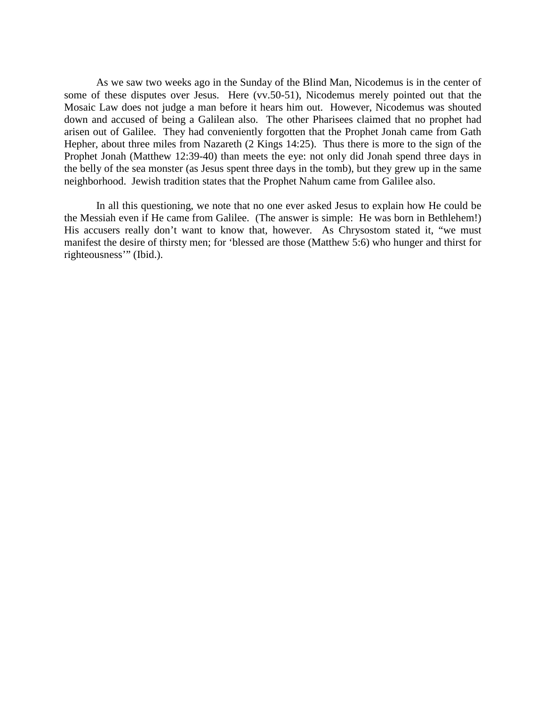As we saw two weeks ago in the Sunday of the Blind Man, Nicodemus is in the center of some of these disputes over Jesus. Here (vv.50-51), Nicodemus merely pointed out that the Mosaic Law does not judge a man before it hears him out. However, Nicodemus was shouted down and accused of being a Galilean also. The other Pharisees claimed that no prophet had arisen out of Galilee. They had conveniently forgotten that the Prophet Jonah came from Gath Hepher, about three miles from Nazareth (2 Kings 14:25). Thus there is more to the sign of the Prophet Jonah (Matthew 12:39-40) than meets the eye: not only did Jonah spend three days in the belly of the sea monster (as Jesus spent three days in the tomb), but they grew up in the same neighborhood. Jewish tradition states that the Prophet Nahum came from Galilee also.

In all this questioning, we note that no one ever asked Jesus to explain how He could be the Messiah even if He came from Galilee. (The answer is simple: He was born in Bethlehem!) His accusers really don't want to know that, however. As Chrysostom stated it, "we must manifest the desire of thirsty men; for 'blessed are those (Matthew 5:6) who hunger and thirst for righteousness'" (Ibid.).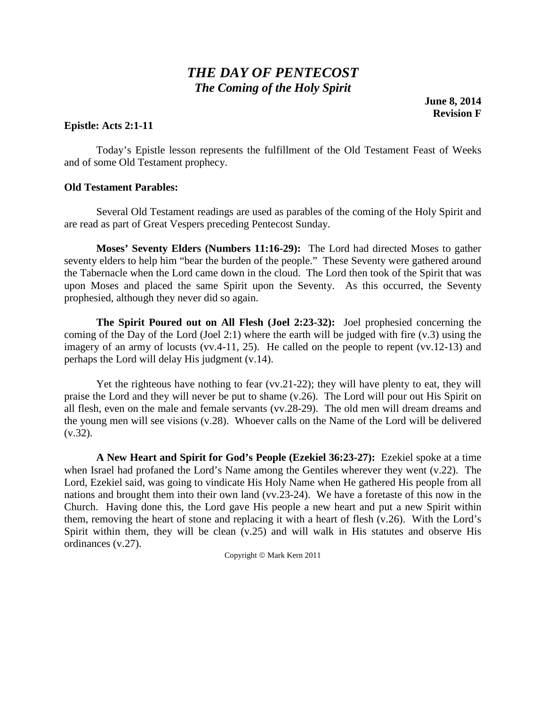# *THE DAY OF PENTECOST The Coming of the Holy Spirit*

**June 8, 2014 Revision F**

### **Epistle: Acts 2:1-11**

Today's Epistle lesson represents the fulfillment of the Old Testament Feast of Weeks and of some Old Testament prophecy.

#### **Old Testament Parables:**

Several Old Testament readings are used as parables of the coming of the Holy Spirit and are read as part of Great Vespers preceding Pentecost Sunday.

**Moses' Seventy Elders (Numbers 11:16-29):** The Lord had directed Moses to gather seventy elders to help him "bear the burden of the people." These Seventy were gathered around the Tabernacle when the Lord came down in the cloud. The Lord then took of the Spirit that was upon Moses and placed the same Spirit upon the Seventy. As this occurred, the Seventy prophesied, although they never did so again.

**The Spirit Poured out on All Flesh (Joel 2:23-32):** Joel prophesied concerning the coming of the Day of the Lord (Joel 2:1) where the earth will be judged with fire (v.3) using the imagery of an army of locusts (vv.4-11, 25). He called on the people to repent (vv.12-13) and perhaps the Lord will delay His judgment (v.14).

Yet the righteous have nothing to fear (vv.21-22); they will have plenty to eat, they will praise the Lord and they will never be put to shame (v.26). The Lord will pour out His Spirit on all flesh, even on the male and female servants (vv.28-29). The old men will dream dreams and the young men will see visions (v.28). Whoever calls on the Name of the Lord will be delivered  $(v.32)$ .

**A New Heart and Spirit for God's People (Ezekiel 36:23-27):** Ezekiel spoke at a time when Israel had profaned the Lord's Name among the Gentiles wherever they went (v.22). The Lord, Ezekiel said, was going to vindicate His Holy Name when He gathered His people from all nations and brought them into their own land (vv.23-24). We have a foretaste of this now in the Church. Having done this, the Lord gave His people a new heart and put a new Spirit within them, removing the heart of stone and replacing it with a heart of flesh (v.26). With the Lord's Spirit within them, they will be clean (v.25) and will walk in His statutes and observe His ordinances (v.27).

Copyright © Mark Kern 2011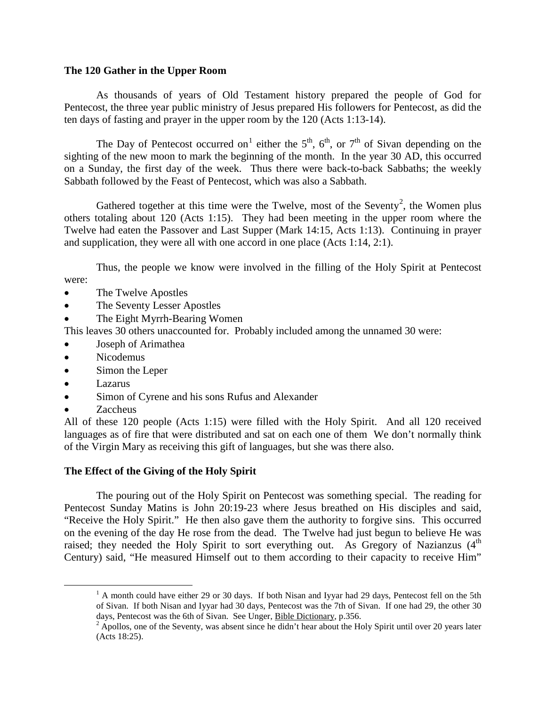### **The 120 Gather in the Upper Room**

As thousands of years of Old Testament history prepared the people of God for Pentecost, the three year public ministry of Jesus prepared His followers for Pentecost, as did the ten days of fasting and prayer in the upper room by the 120 (Acts 1:13-14).

The Day of Pentecost occurred on<sup>[1](#page-5-0)</sup> either the  $5<sup>th</sup>$ ,  $6<sup>th</sup>$ , or  $7<sup>th</sup>$  of Sivan depending on the sighting of the new moon to mark the beginning of the month. In the year 30 AD, this occurred on a Sunday, the first day of the week. Thus there were back-to-back Sabbaths; the weekly Sabbath followed by the Feast of Pentecost, which was also a Sabbath.

Gathered together at this time were the Twelve, most of the Seventy<sup>[2](#page-5-1)</sup>, the Women plus others totaling about 120 (Acts 1:15). They had been meeting in the upper room where the Twelve had eaten the Passover and Last Supper (Mark 14:15, Acts 1:13). Continuing in prayer and supplication, they were all with one accord in one place (Acts 1:14, 2:1).

Thus, the people we know were involved in the filling of the Holy Spirit at Pentecost were:

- The Twelve Apostles
- The Seventy Lesser Apostles
- The Eight Myrrh-Bearing Women

This leaves 30 others unaccounted for. Probably included among the unnamed 30 were:

- Joseph of Arimathea
- Nicodemus
- Simon the Leper
- Lazarus
- Simon of Cyrene and his sons Rufus and Alexander
- Zaccheus

All of these 120 people (Acts 1:15) were filled with the Holy Spirit. And all 120 received languages as of fire that were distributed and sat on each one of them We don't normally think of the Virgin Mary as receiving this gift of languages, but she was there also.

### **The Effect of the Giving of the Holy Spirit**

The pouring out of the Holy Spirit on Pentecost was something special. The reading for Pentecost Sunday Matins is John 20:19-23 where Jesus breathed on His disciples and said, "Receive the Holy Spirit." He then also gave them the authority to forgive sins. This occurred on the evening of the day He rose from the dead. The Twelve had just begun to believe He was raised; they needed the Holy Spirit to sort everything out. As Gregory of Nazianzus (4<sup>th</sup> Century) said, "He measured Himself out to them according to their capacity to receive Him"

<span id="page-5-0"></span> $1$  A month could have either 29 or 30 days. If both Nisan and Iyyar had 29 days, Pentecost fell on the 5th of Sivan. If both Nisan and Iyyar had 30 days, Pentecost was the 7th of Sivan. If one had 29, the other 30 days, Pentecost was the 6th of Sivan. See Unger, Bible Dictionary, p.356.

<span id="page-5-1"></span> $\frac{2}{3}$  Apollos, one of the Seventy, was absent since he didn't hear about the Holy Spirit until over 20 years later (Acts 18:25).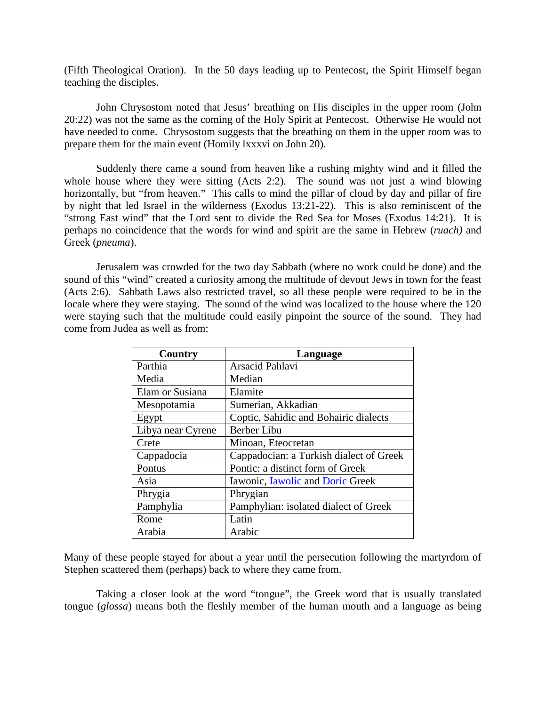(Fifth Theological Oration). In the 50 days leading up to Pentecost, the Spirit Himself began teaching the disciples.

John Chrysostom noted that Jesus' breathing on His disciples in the upper room (John 20:22) was not the same as the coming of the Holy Spirit at Pentecost. Otherwise He would not have needed to come. Chrysostom suggests that the breathing on them in the upper room was to prepare them for the main event (Homily lxxxvi on John 20).

Suddenly there came a sound from heaven like a rushing mighty wind and it filled the whole house where they were sitting (Acts 2:2). The sound was not just a wind blowing horizontally, but "from heaven." This calls to mind the pillar of cloud by day and pillar of fire by night that led Israel in the wilderness (Exodus 13:21-22). This is also reminiscent of the "strong East wind" that the Lord sent to divide the Red Sea for Moses (Exodus 14:21). It is perhaps no coincidence that the words for wind and spirit are the same in Hebrew (*ruach)* and Greek (*pneuma*).

Jerusalem was crowded for the two day Sabbath (where no work could be done) and the sound of this "wind" created a curiosity among the multitude of devout Jews in town for the feast (Acts 2:6). Sabbath Laws also restricted travel, so all these people were required to be in the locale where they were staying. The sound of the wind was localized to the house where the 120 were staying such that the multitude could easily pinpoint the source of the sound. They had come from Judea as well as from:

| Country           | Language                                       |
|-------------------|------------------------------------------------|
| Parthia           | Arsacid Pahlavi                                |
| Media             | Median                                         |
| Elam or Susiana   | Elamite                                        |
| Mesopotamia       | Sumerian, Akkadian                             |
| Egypt             | Coptic, Sahidic and Bohairic dialects          |
| Libya near Cyrene | <b>Berber Libu</b>                             |
| Crete             | Minoan, Eteocretan                             |
| Cappadocia        | Cappadocian: a Turkish dialect of Greek        |
| Pontus            | Pontic: a distinct form of Greek               |
| Asia              | Iawonic, <b>Iawolic</b> and <b>Doric</b> Greek |
| Phrygia           | Phrygian                                       |
| Pamphylia         | Pamphylian: isolated dialect of Greek          |
| Rome              | Latin                                          |
| Arabia            | Arabic                                         |

Many of these people stayed for about a year until the persecution following the martyrdom of Stephen scattered them (perhaps) back to where they came from.

Taking a closer look at the word "tongue", the Greek word that is usually translated tongue (*glossa*) means both the fleshly member of the human mouth and a language as being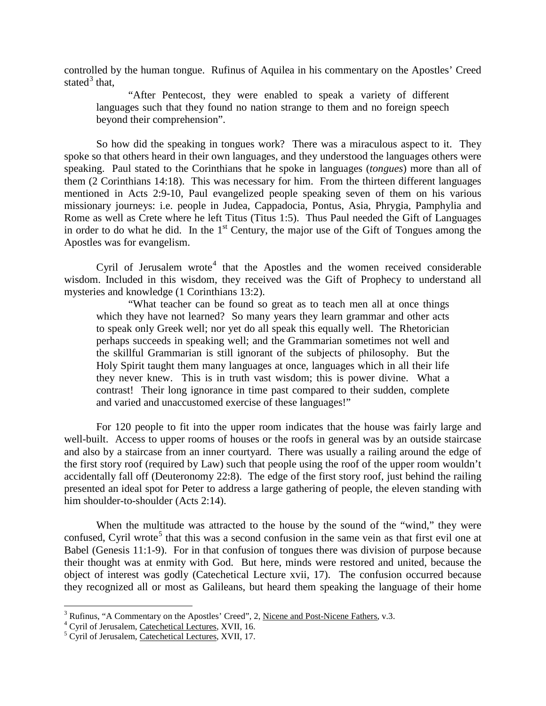controlled by the human tongue. Rufinus of Aquilea in his commentary on the Apostles' Creed stated $3$  that,

"After Pentecost, they were enabled to speak a variety of different languages such that they found no nation strange to them and no foreign speech beyond their comprehension".

So how did the speaking in tongues work? There was a miraculous aspect to it. They spoke so that others heard in their own languages, and they understood the languages others were speaking. Paul stated to the Corinthians that he spoke in languages (*tongues*) more than all of them (2 Corinthians 14:18). This was necessary for him. From the thirteen different languages mentioned in Acts 2:9-10, Paul evangelized people speaking seven of them on his various missionary journeys: i.e. people in Judea, Cappadocia, Pontus, Asia, Phrygia, Pamphylia and Rome as well as Crete where he left Titus (Titus 1:5). Thus Paul needed the Gift of Languages in order to do what he did. In the  $1<sup>st</sup>$  Century, the major use of the Gift of Tongues among the Apostles was for evangelism.

Cyril of Jerusalem wrote<sup>[4](#page-7-1)</sup> that the Apostles and the women received considerable wisdom. Included in this wisdom, they received was the Gift of Prophecy to understand all mysteries and knowledge (1 Corinthians 13:2).

"What teacher can be found so great as to teach men all at once things which they have not learned? So many years they learn grammar and other acts to speak only Greek well; nor yet do all speak this equally well. The Rhetorician perhaps succeeds in speaking well; and the Grammarian sometimes not well and the skillful Grammarian is still ignorant of the subjects of philosophy. But the Holy Spirit taught them many languages at once, languages which in all their life they never knew. This is in truth vast wisdom; this is power divine. What a contrast! Their long ignorance in time past compared to their sudden, complete and varied and unaccustomed exercise of these languages!"

For 120 people to fit into the upper room indicates that the house was fairly large and well-built. Access to upper rooms of houses or the roofs in general was by an outside staircase and also by a staircase from an inner courtyard. There was usually a railing around the edge of the first story roof (required by Law) such that people using the roof of the upper room wouldn't accidentally fall off (Deuteronomy 22:8). The edge of the first story roof, just behind the railing presented an ideal spot for Peter to address a large gathering of people, the eleven standing with him shoulder-to-shoulder (Acts 2:14).

When the multitude was attracted to the house by the sound of the "wind," they were confused, Cyril wrote<sup>[5](#page-7-2)</sup> that this was a second confusion in the same vein as that first evil one at Babel (Genesis 11:1-9). For in that confusion of tongues there was division of purpose because their thought was at enmity with God. But here, minds were restored and united, because the object of interest was godly (Catechetical Lecture xvii, 17). The confusion occurred because they recognized all or most as Galileans, but heard them speaking the language of their home

<span id="page-7-1"></span><span id="page-7-0"></span><sup>&</sup>lt;sup>3</sup> Rufinus, "A Commentary on the Apostles' Creed", 2, <u>Nicene and Post-Nicene Fathers</u>, v.3. <sup>4</sup> Cyril of Jerusalem, <u>Catechetical Lectures</u>, XVII, 16. <sup>5</sup> Cyril of Jerusalem, Catechetical Lectures, XVII, 17.

<span id="page-7-2"></span>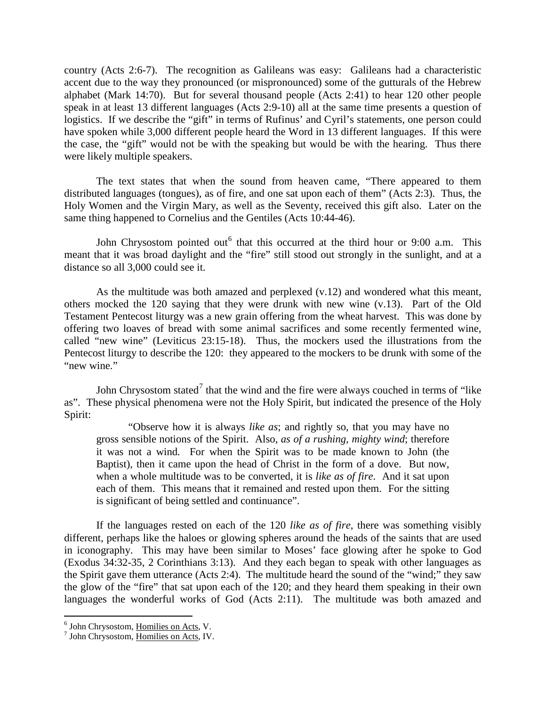country (Acts 2:6-7). The recognition as Galileans was easy: Galileans had a characteristic accent due to the way they pronounced (or mispronounced) some of the gutturals of the Hebrew alphabet (Mark 14:70). But for several thousand people (Acts 2:41) to hear 120 other people speak in at least 13 different languages (Acts 2:9-10) all at the same time presents a question of logistics. If we describe the "gift" in terms of Rufinus' and Cyril's statements, one person could have spoken while 3,000 different people heard the Word in 13 different languages. If this were the case, the "gift" would not be with the speaking but would be with the hearing. Thus there were likely multiple speakers.

The text states that when the sound from heaven came, "There appeared to them distributed languages (tongues), as of fire, and one sat upon each of them" (Acts 2:3). Thus, the Holy Women and the Virgin Mary, as well as the Seventy, received this gift also. Later on the same thing happened to Cornelius and the Gentiles (Acts 10:44-46).

John Chrysostom pointed out  $6$  that this occurred at the third hour or 9:00 a.m. This meant that it was broad daylight and the "fire" still stood out strongly in the sunlight, and at a distance so all 3,000 could see it.

As the multitude was both amazed and perplexed (v.12) and wondered what this meant, others mocked the 120 saying that they were drunk with new wine (v.13). Part of the Old Testament Pentecost liturgy was a new grain offering from the wheat harvest. This was done by offering two loaves of bread with some animal sacrifices and some recently fermented wine, called "new wine" (Leviticus 23:15-18). Thus, the mockers used the illustrations from the Pentecost liturgy to describe the 120: they appeared to the mockers to be drunk with some of the "new wine."

John Chrysostom stated<sup>[7](#page-8-1)</sup> that the wind and the fire were always couched in terms of "like" as". These physical phenomena were not the Holy Spirit, but indicated the presence of the Holy Spirit:

"Observe how it is always *like as*; and rightly so, that you may have no gross sensible notions of the Spirit. Also, *as of a rushing, mighty wind*; therefore it was not a wind*.* For when the Spirit was to be made known to John (the Baptist), then it came upon the head of Christ in the form of a dove. But now, when a whole multitude was to be converted, it is *like as of fire*. And it sat upon each of them. This means that it remained and rested upon them. For the sitting is significant of being settled and continuance".

If the languages rested on each of the 120 *like as of fire*, there was something visibly different, perhaps like the haloes or glowing spheres around the heads of the saints that are used in iconography. This may have been similar to Moses' face glowing after he spoke to God (Exodus 34:32-35, 2 Corinthians 3:13). And they each began to speak with other languages as the Spirit gave them utterance (Acts 2:4). The multitude heard the sound of the "wind;" they saw the glow of the "fire" that sat upon each of the 120; and they heard them speaking in their own languages the wonderful works of God (Acts 2:11). The multitude was both amazed and

<span id="page-8-0"></span> $^6$  John Chrysostom, Homilies on Acts, V.<br> $^7$  John Chrysostom, Homilies on Acts, IV.

<span id="page-8-1"></span>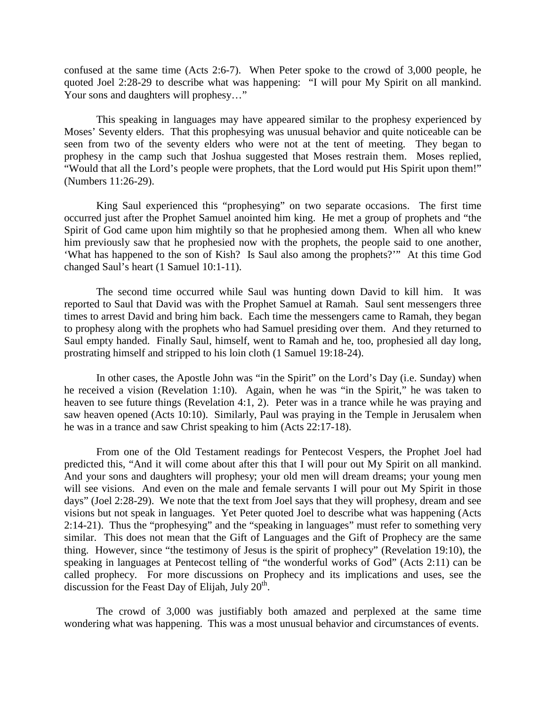confused at the same time (Acts 2:6-7). When Peter spoke to the crowd of 3,000 people, he quoted Joel 2:28-29 to describe what was happening: "I will pour My Spirit on all mankind. Your sons and daughters will prophesy..."

This speaking in languages may have appeared similar to the prophesy experienced by Moses' Seventy elders. That this prophesying was unusual behavior and quite noticeable can be seen from two of the seventy elders who were not at the tent of meeting. They began to prophesy in the camp such that Joshua suggested that Moses restrain them. Moses replied, "Would that all the Lord's people were prophets, that the Lord would put His Spirit upon them!" (Numbers 11:26-29).

King Saul experienced this "prophesying" on two separate occasions. The first time occurred just after the Prophet Samuel anointed him king. He met a group of prophets and "the Spirit of God came upon him mightily so that he prophesied among them. When all who knew him previously saw that he prophesied now with the prophets, the people said to one another, 'What has happened to the son of Kish? Is Saul also among the prophets?'" At this time God changed Saul's heart (1 Samuel 10:1-11).

The second time occurred while Saul was hunting down David to kill him. It was reported to Saul that David was with the Prophet Samuel at Ramah. Saul sent messengers three times to arrest David and bring him back. Each time the messengers came to Ramah, they began to prophesy along with the prophets who had Samuel presiding over them. And they returned to Saul empty handed. Finally Saul, himself, went to Ramah and he, too, prophesied all day long, prostrating himself and stripped to his loin cloth (1 Samuel 19:18-24).

In other cases, the Apostle John was "in the Spirit" on the Lord's Day (i.e. Sunday) when he received a vision (Revelation 1:10). Again, when he was "in the Spirit," he was taken to heaven to see future things (Revelation 4:1, 2). Peter was in a trance while he was praying and saw heaven opened (Acts 10:10). Similarly, Paul was praying in the Temple in Jerusalem when he was in a trance and saw Christ speaking to him (Acts 22:17-18).

From one of the Old Testament readings for Pentecost Vespers, the Prophet Joel had predicted this, "And it will come about after this that I will pour out My Spirit on all mankind. And your sons and daughters will prophesy; your old men will dream dreams; your young men will see visions. And even on the male and female servants I will pour out My Spirit in those days" (Joel 2:28-29). We note that the text from Joel says that they will prophesy, dream and see visions but not speak in languages. Yet Peter quoted Joel to describe what was happening (Acts 2:14-21). Thus the "prophesying" and the "speaking in languages" must refer to something very similar. This does not mean that the Gift of Languages and the Gift of Prophecy are the same thing. However, since "the testimony of Jesus is the spirit of prophecy" (Revelation 19:10), the speaking in languages at Pentecost telling of "the wonderful works of God" (Acts 2:11) can be called prophecy. For more discussions on Prophecy and its implications and uses, see the discussion for the Feast Day of Elijah, July  $20<sup>th</sup>$ .

The crowd of 3,000 was justifiably both amazed and perplexed at the same time wondering what was happening. This was a most unusual behavior and circumstances of events.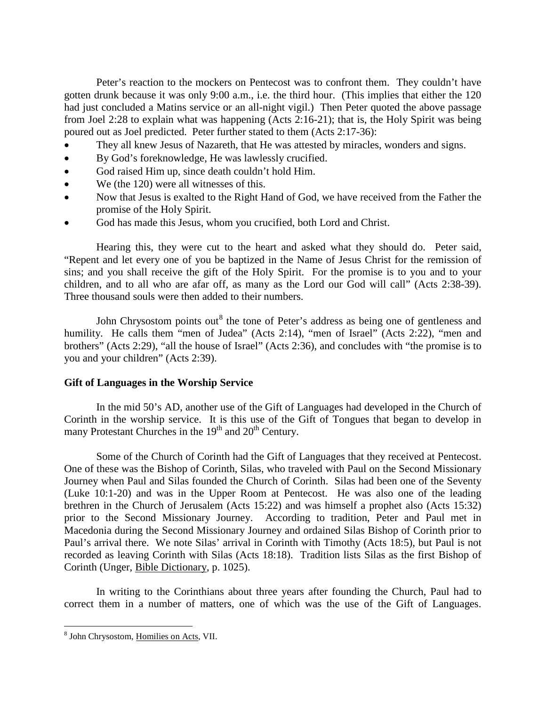Peter's reaction to the mockers on Pentecost was to confront them. They couldn't have gotten drunk because it was only 9:00 a.m., i.e. the third hour. (This implies that either the 120 had just concluded a Matins service or an all-night vigil.) Then Peter quoted the above passage from Joel 2:28 to explain what was happening (Acts 2:16-21); that is, the Holy Spirit was being poured out as Joel predicted. Peter further stated to them (Acts 2:17-36):

- They all knew Jesus of Nazareth, that He was attested by miracles, wonders and signs.
- By God's foreknowledge, He was lawlessly crucified.
- God raised Him up, since death couldn't hold Him.
- We (the 120) were all witnesses of this.
- Now that Jesus is exalted to the Right Hand of God, we have received from the Father the promise of the Holy Spirit.
- God has made this Jesus, whom you crucified, both Lord and Christ.

Hearing this, they were cut to the heart and asked what they should do. Peter said, "Repent and let every one of you be baptized in the Name of Jesus Christ for the remission of sins; and you shall receive the gift of the Holy Spirit. For the promise is to you and to your children, and to all who are afar off, as many as the Lord our God will call" (Acts 2:38-39). Three thousand souls were then added to their numbers.

John Chrysostom points out<sup>[8](#page-10-0)</sup> the tone of Peter's address as being one of gentleness and humility. He calls them "men of Judea" (Acts 2:14), "men of Israel" (Acts 2:22), "men and brothers" (Acts 2:29), "all the house of Israel" (Acts 2:36), and concludes with "the promise is to you and your children" (Acts 2:39).

## **Gift of Languages in the Worship Service**

In the mid 50's AD, another use of the Gift of Languages had developed in the Church of Corinth in the worship service. It is this use of the Gift of Tongues that began to develop in many Protestant Churches in the  $19<sup>th</sup>$  and  $20<sup>th</sup>$  Century.

Some of the Church of Corinth had the Gift of Languages that they received at Pentecost. One of these was the Bishop of Corinth, Silas, who traveled with Paul on the Second Missionary Journey when Paul and Silas founded the Church of Corinth. Silas had been one of the Seventy (Luke 10:1-20) and was in the Upper Room at Pentecost. He was also one of the leading brethren in the Church of Jerusalem (Acts 15:22) and was himself a prophet also (Acts 15:32) prior to the Second Missionary Journey. According to tradition, Peter and Paul met in Macedonia during the Second Missionary Journey and ordained Silas Bishop of Corinth prior to Paul's arrival there. We note Silas' arrival in Corinth with Timothy (Acts 18:5), but Paul is not recorded as leaving Corinth with Silas (Acts 18:18). Tradition lists Silas as the first Bishop of Corinth (Unger, Bible Dictionary, p. 1025).

In writing to the Corinthians about three years after founding the Church, Paul had to correct them in a number of matters, one of which was the use of the Gift of Languages.

<span id="page-10-0"></span> <sup>8</sup> John Chrysostom, Homilies on Acts, VII.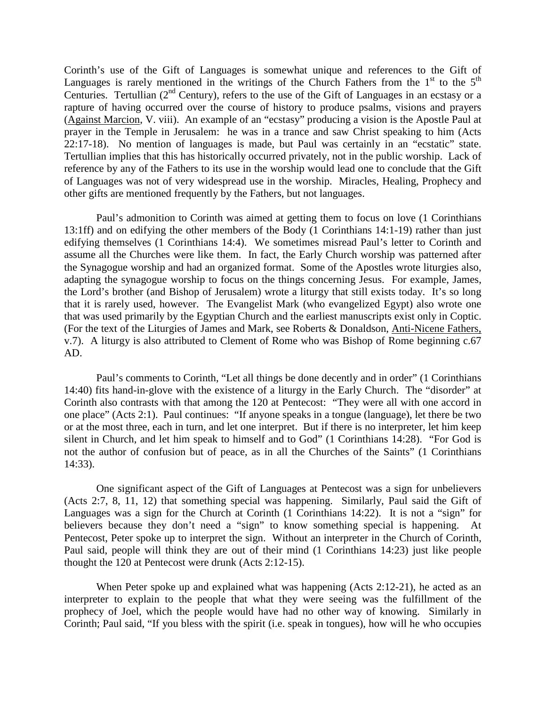Corinth's use of the Gift of Languages is somewhat unique and references to the Gift of Languages is rarely mentioned in the writings of the Church Fathers from the  $1<sup>st</sup>$  to the  $5<sup>th</sup>$ Centuries. Tertullian  $(2^{nd}$  Century), refers to the use of the Gift of Languages in an ecstasy or a rapture of having occurred over the course of history to produce psalms, visions and prayers (Against Marcion, V. viii). An example of an "ecstasy" producing a vision is the Apostle Paul at prayer in the Temple in Jerusalem: he was in a trance and saw Christ speaking to him (Acts 22:17-18). No mention of languages is made, but Paul was certainly in an "ecstatic" state. Tertullian implies that this has historically occurred privately, not in the public worship. Lack of reference by any of the Fathers to its use in the worship would lead one to conclude that the Gift of Languages was not of very widespread use in the worship. Miracles, Healing, Prophecy and other gifts are mentioned frequently by the Fathers, but not languages.

Paul's admonition to Corinth was aimed at getting them to focus on love (1 Corinthians 13:1ff) and on edifying the other members of the Body (1 Corinthians 14:1-19) rather than just edifying themselves (1 Corinthians 14:4). We sometimes misread Paul's letter to Corinth and assume all the Churches were like them. In fact, the Early Church worship was patterned after the Synagogue worship and had an organized format. Some of the Apostles wrote liturgies also, adapting the synagogue worship to focus on the things concerning Jesus. For example, James, the Lord's brother (and Bishop of Jerusalem) wrote a liturgy that still exists today. It's so long that it is rarely used, however. The Evangelist Mark (who evangelized Egypt) also wrote one that was used primarily by the Egyptian Church and the earliest manuscripts exist only in Coptic. (For the text of the Liturgies of James and Mark, see Roberts & Donaldson, Anti-Nicene Fathers, v.7). A liturgy is also attributed to Clement of Rome who was Bishop of Rome beginning c.67 AD.

Paul's comments to Corinth, "Let all things be done decently and in order" (1 Corinthians 14:40) fits hand-in-glove with the existence of a liturgy in the Early Church. The "disorder" at Corinth also contrasts with that among the 120 at Pentecost: "They were all with one accord in one place" (Acts 2:1). Paul continues: "If anyone speaks in a tongue (language), let there be two or at the most three, each in turn, and let one interpret. But if there is no interpreter, let him keep silent in Church, and let him speak to himself and to God" (1 Corinthians 14:28). "For God is not the author of confusion but of peace, as in all the Churches of the Saints" (1 Corinthians 14:33).

One significant aspect of the Gift of Languages at Pentecost was a sign for unbelievers (Acts 2:7, 8, 11, 12) that something special was happening. Similarly, Paul said the Gift of Languages was a sign for the Church at Corinth (1 Corinthians 14:22). It is not a "sign" for believers because they don't need a "sign" to know something special is happening. At Pentecost, Peter spoke up to interpret the sign. Without an interpreter in the Church of Corinth, Paul said, people will think they are out of their mind (1 Corinthians 14:23) just like people thought the 120 at Pentecost were drunk (Acts 2:12-15).

When Peter spoke up and explained what was happening (Acts 2:12-21), he acted as an interpreter to explain to the people that what they were seeing was the fulfillment of the prophecy of Joel, which the people would have had no other way of knowing. Similarly in Corinth; Paul said, "If you bless with the spirit (i.e. speak in tongues), how will he who occupies